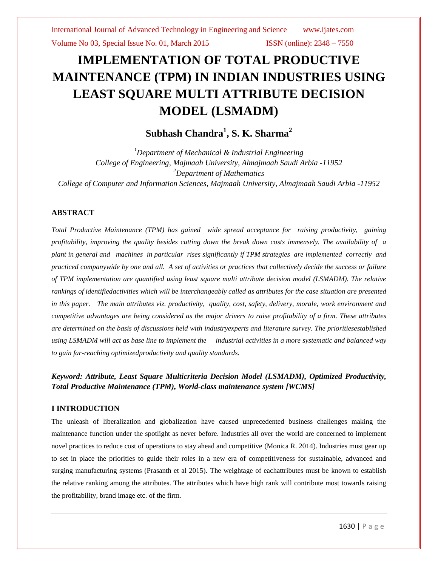# **IMPLEMENTATION OF TOTAL PRODUCTIVE MAINTENANCE (TPM) IN INDIAN INDUSTRIES USING LEAST SQUARE MULTI ATTRIBUTE DECISION MODEL (LSMADM)**

# **Subhash Chandra<sup>1</sup> , S. K. Sharma<sup>2</sup>**

*<sup>1</sup>Department of Mechanical & Industrial Engineering College of Engineering, Majmaah University, Almajmaah Saudi Arbia -11952 <sup>2</sup>Department of Mathematics College of Computer and Information Sciences, Majmaah University, Almajmaah Saudi Arbia -11952*

## **ABSTRACT**

*Total Productive Maintenance (TPM) has gained wide spread acceptance for raising productivity, gaining profitability, improving the quality besides cutting down the break down costs immensely. The availability of a plant in general and machines in particular rises significantly if TPM strategies are implemented correctly and practiced companywide by one and all. A set of activities or practices that collectively decide the success or failure of TPM implementation are quantified using least square multi attribute decision model (LSMADM). The relative rankings of identifiedactivities which will be interchangeably called as attributes for the case situation are presented in this paper. The main attributes viz. productivity, quality, cost, safety, delivery, morale, work environment and competitive advantages are being considered as the major drivers to raise profitability of a firm. These attributes are determined on the basis of discussions held with industryexperts and literature survey. The prioritiesestablished using LSMADM will act as base line to implement the industrial activities in a more systematic and balanced way to gain far-reaching optimizedproductivity and quality standards.* 

# *Keyword: Attribute, Least Square Multicriteria Decision Model (LSMADM), Optimized Productivity, Total Productive Maintenance (TPM), World-class maintenance system [WCMS]*

#### **I INTRODUCTION**

The unleash of liberalization and globalization have caused unprecedented business challenges making the maintenance function under the spotlight as never before. Industries all over the world are concerned to implement novel practices to reduce cost of operations to stay ahead and competitive (Monica R. 2014). Industries must gear up to set in place the priorities to guide their roles in a new era of competitiveness for sustainable, advanced and surging manufacturing systems (Prasanth et al 2015). The weightage of eachattributes must be known to establish the relative ranking among the attributes. The attributes which have high rank will contribute most towards raising the profitability, brand image etc. of the firm.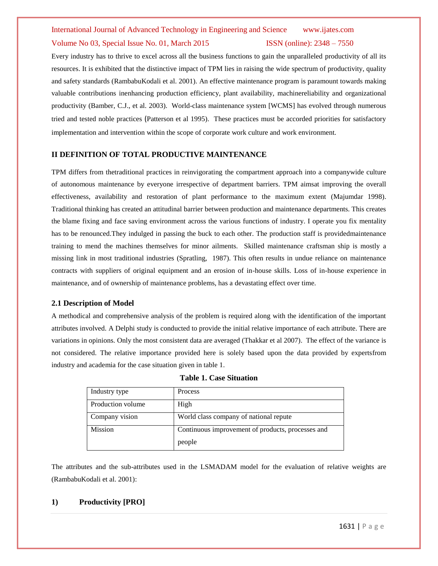Every industry has to thrive to excel across all the business functions to gain the unparalleled productivity of all its resources. It is exhibited that the distinctive impact of TPM lies in raising the wide spectrum of productivity, quality and safety standards (RambabuKodali et al. 2001). An effective maintenance program is paramount towards making valuable contributions inenhancing production efficiency, plant availability, machinereliability and organizational productivity (Bamber, C.J., et al. 2003). World-class maintenance system [WCMS] has evolved through numerous tried and tested noble practices (Patterson et al 1995). These practices must be accorded priorities for satisfactory implementation and intervention within the scope of corporate work culture and work environment.

### **II DEFINITION OF TOTAL PRODUCTIVE MAINTENANCE**

TPM differs from thetraditional practices in reinvigorating the compartment approach into a companywide culture of autonomous maintenance by everyone irrespective of department barriers. TPM aimsat improving the overall effectiveness, availability and restoration of plant performance to the maximum extent (Majumdar 1998). Traditional thinking has created an attitudinal barrier between production and maintenance departments. This creates the blame fixing and face saving environment across the various functions of industry. I operate you fix mentality has to be renounced.They indulged in passing the buck to each other. The production staff is providedmaintenance training to mend the machines themselves for minor ailments. Skilled maintenance craftsman ship is mostly a missing link in most traditional industries (Spratling, 1987). This often results in undue reliance on maintenance contracts with suppliers of original equipment and an erosion of in-house skills. Loss of in-house experience in maintenance, and of ownership of maintenance problems, has a devastating effect over time.

#### **2.1 Description of Model**

A methodical and comprehensive analysis of the problem is required along with the identification of the important attributes involved. A Delphi study is conducted to provide the initial relative importance of each attribute. There are variations in opinions. Only the most consistent data are averaged (Thakkar et al 2007). The effect of the variance is not considered. The relative importance provided here is solely based upon the data provided by expertsfrom industry and academia for the case situation given in table 1.

| Industry type     | <b>Process</b>                                    |
|-------------------|---------------------------------------------------|
| Production volume | High                                              |
| Company vision    | World class company of national repute            |
| <b>Mission</b>    | Continuous improvement of products, processes and |
|                   | people                                            |

| <b>Table 1. Case Situation</b> |
|--------------------------------|
|--------------------------------|

The attributes and the sub-attributes used in the LSMADAM model for the evaluation of relative weights are (RambabuKodali et al. 2001):

#### **1) Productivity [PRO]**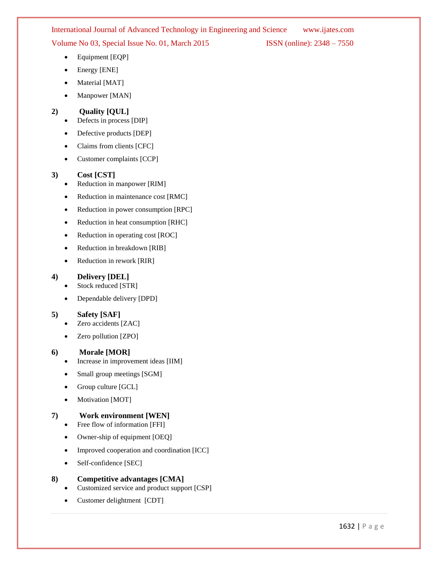- Equipment [EQP]
- Energy [ENE]
- Material [MAT]
- Manpower [MAN]

## **2) Quality [QUL]**

- Defects in process [DIP]
- Defective products [DEP]
- Claims from clients [CFC]
- Customer complaints [CCP]

# **3) Cost [CST]**

- Reduction in manpower [RIM]
- Reduction in maintenance cost [RMC]
- Reduction in power consumption [RPC]
- Reduction in heat consumption [RHC]
- Reduction in operating cost [ROC]
- Reduction in breakdown [RIB]
- Reduction in rework [RIR]

## **4) Delivery [DEL]**

- Stock reduced [STR]
- Dependable delivery [DPD]

### **5) Safety [SAF]**

- Zero accidents [ZAC]
- Zero pollution [ZPO]

### **6) Morale [MOR]**

- Increase in improvement ideas [IIM]
- Small group meetings [SGM]
- Group culture [GCL]
- Motivation [MOT]

# **7) Work environment [WEN]**

- Free flow of information [FFI]
- Owner-ship of equipment [OEQ]
- Improved cooperation and coordination [ICC]
- Self-confidence [SEC]

# **8) Competitive advantages [CMA]**

- Customized service and product support [CSP]
- Customer delightment [CDT]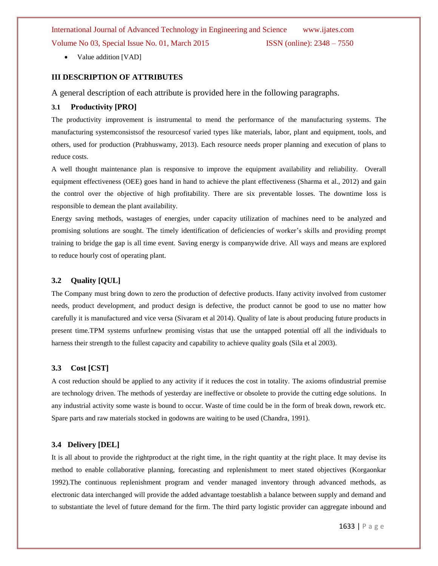• Value addition [VAD]

#### **III DESCRIPTION OF ATTRIBUTES**

A general description of each attribute is provided here in the following paragraphs.

#### **3.1 Productivity [PRO]**

The productivity improvement is instrumental to mend the performance of the manufacturing systems. The manufacturing systemconsistsof the resourcesof varied types like materials, labor, plant and equipment, tools, and others, used for production (Prabhuswamy, 2013). Each resource needs proper planning and execution of plans to reduce costs.

A well thought maintenance plan is responsive to improve the equipment availability and reliability. Overall equipment effectiveness (OEE) goes hand in hand to achieve the plant effectiveness (Sharma et al., 2012) and gain the control over the objective of high profitability. There are six preventable losses. The downtime loss is responsible to demean the plant availability.

Energy saving methods, wastages of energies, under capacity utilization of machines need to be analyzed and promising solutions are sought. The timely identification of deficiencies of worker's skills and providing prompt training to bridge the gap is all time event. Saving energy is companywide drive. All ways and means are explored to reduce hourly cost of operating plant.

#### **3.2 Quality [QUL]**

The Company must bring down to zero the production of defective products. Ifany activity involved from customer needs, product development, and product design is defective, the product cannot be good to use no matter how carefully it is manufactured and vice versa (Sivaram et al 2014). Quality of late is about producing future products in present time.TPM systems unfurlnew promising vistas that use the untapped potential off all the individuals to harness their strength to the fullest capacity and capability to achieve quality goals (Sila et al 2003).

#### **3.3 Cost [CST]**

A cost reduction should be applied to any activity if it reduces the cost in totality. The axioms ofindustrial premise are technology driven. The methods of yesterday are ineffective or obsolete to provide the cutting edge solutions. In any industrial activity some waste is bound to occur. Waste of time could be in the form of break down, rework etc. Spare parts and raw materials stocked in godowns are waiting to be used (Chandra, 1991).

#### **3.4 Delivery [DEL]**

It is all about to provide the rightproduct at the right time, in the right quantity at the right place. It may devise its method to enable collaborative planning, forecasting and replenishment to meet stated objectives (Korgaonkar 1992).The continuous replenishment program and vender managed inventory through advanced methods, as electronic data interchanged will provide the added advantage toestablish a balance between supply and demand and to substantiate the level of future demand for the firm. The third party logistic provider can aggregate inbound and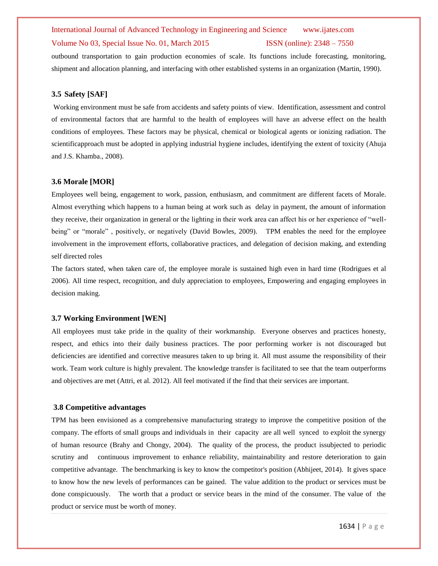outbound transportation to gain production economies of scale. Its functions include forecasting, monitoring, shipment and allocation planning, and interfacing with other established systems in an organization (Martin, 1990).

#### **3.5 Safety [SAF]**

Working environment must be safe from accidents and safety points of view. Identification, assessment and control of environmental factors that are harmful to the health of employees will have an adverse effect on the health conditions of employees. These factors may be physical, chemical or biological agents or ionizing radiation. The scientificapproach must be adopted in applying industrial hygiene includes, identifying the extent of toxicity (Ahuja and J.S. Khamba., 2008).

#### **3.6 Morale [MOR]**

Employees well being, engagement to work, passion, enthusiasm, and commitment are different facets of Morale. Almost everything which happens to a human being at work such as delay in payment, the amount of information they receive, their organization in general or the lighting in their work area can affect his or her experience of "wellbeing" or "morale", positively, or negatively (David Bowles, 2009). TPM enables the need for the employee involvement in the improvement efforts, collaborative practices, and delegation of decision making, and extending self directed roles

The factors stated, when taken care of, the employee morale is sustained high even in hard time (Rodrigues et al 2006). All time respect, recognition, and duly appreciation to employees, Empowering and engaging employees in decision making.

#### **3.7 Working Environment [WEN]**

All employees must take pride in the quality of their workmanship. Everyone observes and practices honesty, respect, and ethics into their daily business practices. The poor performing worker is not discouraged but deficiencies are identified and corrective measures taken to up bring it. All must assume the responsibility of their work. Team work culture is highly prevalent. The knowledge transfer is facilitated to see that the team outperforms and objectives are met (Attri, et al. 2012). All feel motivated if the find that their services are important.

#### **3.8 Competitive advantages**

TPM has been envisioned as a comprehensive manufacturing strategy to improve the competitive position of the company. The efforts of small groups and individuals in their capacity are all well synced to exploit the synergy of human resource (Brahy and Chongy, 2004). The quality of the process, the product issubjected to periodic scrutiny and continuous improvement to enhance reliability, maintainability and restore deterioration to gain competitive advantage. The benchmarking is key to know the competitor's position (Abhijeet, 2014). It gives space to know how the new levels of performances can be gained. The value addition to the product or services must be done conspicuously. The worth that a product or service bears in the mind of the consumer. The value of the product or service must be worth of money.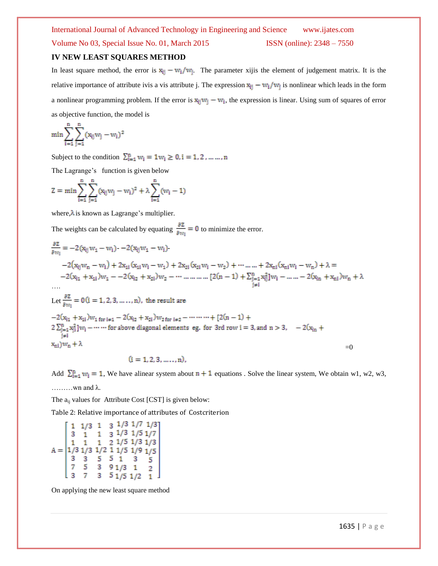### **IV NEW LEAST SQUARES METHOD**

In least square method, the error is  $x_{ij} - w_i/w_j$ . The parameter xijis the element of judgement matrix. It is the relative importance of attribute ivis a vis attribute j. The expression  $x_{ij} - w_i/w_j$  is nonlinear which leads in the form a nonlinear programming problem. If the error is  $x_{ij}w_j - w_i$ , the expression is linear. Using sum of squares of error as objective function, the model is

$$
\min\sum_{i=1}^n\sum_{j=1}^n(x_{ij}w_j-w_i)^2
$$

Subject to the condition  $\sum_{i=1}^{n} w_i = 1 w_i \ge 0, i = 1, 2, ..., n$ 

The Lagrange's function is given below

$$
Z = \min \sum_{i=1}^n \sum_{j=1}^n (x_{ij}w_j - w_i)^2 + \lambda \sum_{i=1}^n (w_i - 1)
$$

where, $\lambda$  is known as Lagrange's multiplier.

The weights can be calculated by equating  $\frac{\partial z}{\partial w_i} = 0$  to minimize the error.

$$
\frac{\partial z}{\partial w_i} = -2(x_{ij}w_1 - w_i) - 2(x_{ij}w_1 - w_i).
$$
  
\n
$$
-2(x_{ij}w_n - w_i) + 2x_{1i}(x_{1i}w_i - w_1) + 2x_{2i}(x_{2i}w_i - w_2) + \cdots + 2x_{ni}(x_{ni}w_i - w_n) + \lambda =
$$
  
\n
$$
-2(x_{i1} + x_{1i})w_1 - 2(x_{i2} + x_{2i})w_2 - \cdots + \cdots + [2(n-1) + \sum_{\substack{j=1 \ j \neq i}}^{n} x_{ij}^2]w_i - \cdots - 2(x_{in} + x_{ni})w_n + \lambda
$$
  
\n...  
\nLet  $\frac{\partial z}{\partial w_i} = 0$  (i = 1, 2, 3, ..., n), the result are  
\n
$$
-2(x_{i1} + x_{1i})w_1 \text{ for } i \neq 1 - 2(x_{i2} + x_{2i})w_2 \text{ for } i \neq 2 - \cdots + [2(n-1) +
$$
  
\n
$$
2\sum_{\substack{j=1 \ j \neq i}}^{n} x_{ij}^2]w_i - \cdots \text{ for above diagonal elements eg, for 3rd row i = 3, and n > 3, -2(x_{in} +
$$
  
\n
$$
x_{ni})w_n + \lambda = 0
$$

 $(i = 1, 2, 3, ..., n)$ ,

Add  $\sum_{i=1}^{n} w_i = 1$ , We have alinear system about  $n + 1$  equations . Solve the linear system, We obtain w1, w2, w3, ………wn and λ.

The  $a_{ii}$  values for Attribute Cost [CST] is given below:

Table 2: Relative importance of attributes of Costcriterion

|  |  |  | $1/3$ 1 3 $1/3$ $1/7$ $1/3$ ]                                                                                                                                                                             |
|--|--|--|-----------------------------------------------------------------------------------------------------------------------------------------------------------------------------------------------------------|
|  |  |  | $1 \quad 3 \quad 1/3 \quad 1/5 \quad 1/7$                                                                                                                                                                 |
|  |  |  |                                                                                                                                                                                                           |
|  |  |  |                                                                                                                                                                                                           |
|  |  |  | A = $\begin{bmatrix} 1 & 1 & 1 & 2 & 1/5 & 1/3 & 1/3 \\ 1/3 & 1/3 & 1/2 & 1 & 1/5 & 1/9 & 1/5 \\ 3 & 3 & 5 & 5 & 1 & 3 & 5 \\ 7 & 5 & 3 & 9 & 1/3 & 1 & 2 \\ 3 & 7 & 3 & 5 & 1/5 & 1/2 & 1 \end{bmatrix}$ |
|  |  |  |                                                                                                                                                                                                           |
|  |  |  |                                                                                                                                                                                                           |

On applying the new least square method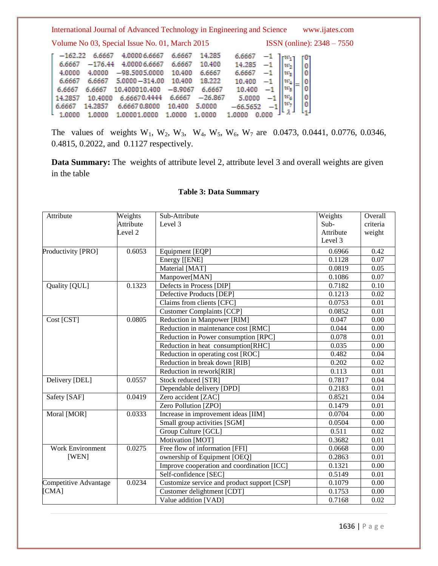|                                                |           | International Journal of Advanced Technology in Engineering and Science |           |           |                                                                                                          |  |                                                  | www.ijates.com |
|------------------------------------------------|-----------|-------------------------------------------------------------------------|-----------|-----------|----------------------------------------------------------------------------------------------------------|--|--------------------------------------------------|----------------|
| Volume No 03, Special Issue No. 01, March 2015 |           |                                                                         |           |           |                                                                                                          |  | <b>ISSN</b> (online): $2348 - 7550$              |                |
| $-162.22$                                      | 6.6667    | 4.0000 6.6667                                                           | 6.6667    | 14.285    | 6.6667                                                                                                   |  |                                                  |                |
| 6.6667                                         | $-176.44$ | 4.0000 6.6667                                                           | 6.6667    | 10.400    |                                                                                                          |  |                                                  |                |
| 4.0000                                         | 4.0000    | $-98.5005.0000$                                                         | 10,400    | 6.6667    | $\begin{bmatrix} 14.285 & -1 \\ 6.6667 & -1 \end{bmatrix} \begin{bmatrix} 1 \\ w_2 \\ w_3 \end{bmatrix}$ |  | $\begin{bmatrix} 0 \\ 0 \\ 0 \\ 0 \end{bmatrix}$ |                |
| 6.6667                                         | 6.6667    | $5.0000 - 314.00$                                                       | 10,400    | 18.222    | 10.400                                                                                                   |  |                                                  |                |
| 6.6667                                         | 6.6667    | 10.400010.400                                                           | $-8.9067$ | 6.6667    | 10.400                                                                                                   |  |                                                  |                |
| 14.2857                                        | 10,4000   | 6.66670.4444                                                            | 6.6667    | $-26.867$ | 5.0000                                                                                                   |  | $\begin{matrix} 0 \\ 0 \end{matrix}$             |                |
| 6.6667                                         | 14.2857   | 6.66670.8000                                                            | 10.400    | 5.0000    | $-66.5652$                                                                                               |  |                                                  |                |
| 1.0000                                         | 1.0000    | 1.00001.0000                                                            | 1.0000    | 1.0000    |                                                                                                          |  |                                                  |                |

The values of weights  $W_1$ ,  $W_2$ ,  $W_3$ ,  $W_4$ ,  $W_5$ ,  $W_6$ ,  $W_7$  are 0.0473, 0.0441, 0.0776, 0.0346, 0.4815, 0.2022, and 0.1127 respectively.

**Data Summary:** The weights of attribute level 2, attribute level 3 and overall weights are given in the table

| Attribute             | Weights            | Sub-Attribute                               | Weights   | Overall  |
|-----------------------|--------------------|---------------------------------------------|-----------|----------|
|                       | Attribute          | Level 3                                     | Sub-      | criteria |
|                       | Level <sub>2</sub> |                                             | Attribute | weight   |
|                       |                    |                                             | Level 3   |          |
| Productivity [PRO]    | 0.6053             | Equipment [EQP]                             | 0.6966    | 0.42     |
|                       |                    | Energy [[ENE]                               | 0.1128    | 0.07     |
|                       |                    | Material [MAT]                              | 0.0819    | 0.05     |
|                       |                    | Manpower[MAN]                               | 0.1086    | 0.07     |
| Quality [QUL]         | 0.1323             | Defects in Process [DIP]                    | 0.7182    | 0.10     |
|                       |                    | Defective Products [DEP]                    | 0.1213    | 0.02     |
|                       |                    | Claims from clients [CFC]                   | 0.0753    | 0.01     |
|                       |                    | <b>Customer Complaints [CCP]</b>            | 0.0852    | 0.01     |
| Cost [CST]            | 0.0805             | Reduction in Manpower [RIM]                 | 0.047     | 0.00     |
|                       |                    | Reduction in maintenance cost [RMC]         | 0.044     | 0.00     |
|                       |                    | Reduction in Power consumption [RPC]        | 0.078     | 0.01     |
|                       |                    | Reduction in heat consumption[RHC]          | 0.035     | 0.00     |
|                       |                    | Reduction in operating cost [ROC]           | 0.482     | 0.04     |
|                       |                    | Reduction in break down [RIB]               | 0.202     | 0.02     |
|                       |                    | Reduction in rework[RIR]                    | 0.113     | 0.01     |
| Delivery [DEL]        | 0.0557             | Stock reduced [STR]                         | 0.7817    | 0.04     |
|                       |                    | Dependable delivery [DPD]                   | 0.2183    | 0.01     |
| Safety [SAF]          | 0.0419             | Zero accident [ZAC]                         | 0.8521    | 0.04     |
|                       |                    | Zero Pollution [ZPO]                        | 0.1479    | 0.01     |
| Moral [MOR]           | 0.0333             | Increase in improvement ideas [IIM]         | 0.0704    | 0.00     |
|                       |                    | Small group activities [SGM]                | 0.0504    | 0.00     |
|                       |                    | Group Culture [GCL]                         | 0.511     | 0.02     |
|                       |                    | Motivation [MOT]                            | 0.3682    | 0.01     |
| Work Environment      | 0.0275             | Free flow of information [FFI]              | 0.0668    | 0.00     |
| [WEN]                 |                    | ownership of Equipment [OEQ]                | 0.2863    | 0.01     |
|                       |                    | Improve cooperation and coordination [ICC]  | 0.1321    | 0.00     |
|                       |                    | Self-confidence [SEC]                       | 0.5149    | 0.01     |
| Competitive Advantage | 0.0234             | Customize service and product support [CSP] | 0.1079    | 0.00     |
| [CMA]                 |                    | Customer delightment [CDT]                  | 0.1753    | 0.00     |
|                       |                    | Value addition [VAD]                        | 0.7168    | 0.02     |

## **Table 3: Data Summary**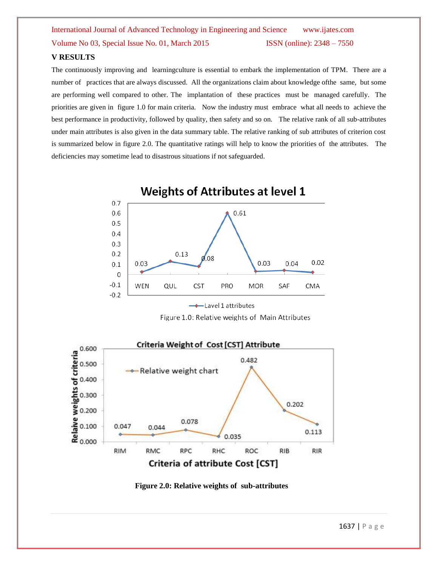### **V RESULTS**

The continuously improving and learningculture is essential to embark the implementation of TPM. There are a number of practices that are always discussed. All the organizations claim about knowledge ofthe same, but some are performing well compared to other. The implantation of these practices must be managed carefully. The priorities are given in figure 1.0 for main criteria. Now the industry must embrace what all needs to achieve the best performance in productivity, followed by quality, then safety and so on. The relative rank of all sub-attributes under main attributes is also given in the data summary table. The relative ranking of sub attributes of criterion cost is summarized below in figure 2.0. The quantitative ratings will help to know the priorities of the attributes. The deficiencies may sometime lead to disastrous situations if not safeguarded.



 $\longrightarrow$  Lavel 1 attributes

Figure 1.0: Relative weights of Main Attributes



**Figure 2.0: Relative weights of sub-attributes**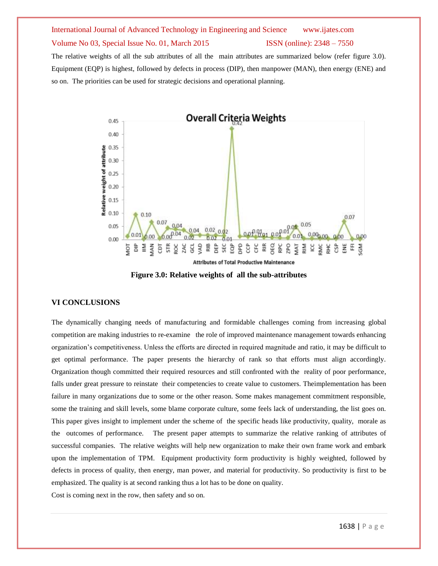The relative weights of all the sub attributes of all the main attributes are summarized below (refer figure 3.0). Equipment (EQP) is highest, followed by defects in process (DIP), then manpower (MAN), then energy (ENE) and so on. The priorities can be used for strategic decisions and operational planning.



**Figure 3.0: Relative weights of all the sub-attributes**

### **VI CONCLUSIONS**

The dynamically changing needs of manufacturing and formidable challenges coming from increasing global competition are making industries to re-examine the role of improved maintenance management towards enhancing organization's competitiveness. Unless the efforts are directed in required magnitude and ratio, it may be difficult to get optimal performance. The paper presents the hierarchy of rank so that efforts must align accordingly. Organization though committed their required resources and still confronted with the reality of poor performance, falls under great pressure to reinstate their competencies to create value to customers. Theimplementation has been failure in many organizations due to some or the other reason. Some makes management commitment responsible, some the training and skill levels, some blame corporate culture, some feels lack of understanding, the list goes on. This paper gives insight to implement under the scheme of the specific heads like productivity, quality, morale as the outcomes of performance. The present paper attempts to summarize the relative ranking of attributes of successful companies. The relative weights will help new organization to make their own frame work and embark upon the implementation of TPM. Equipment productivity form productivity is highly weighted, followed by defects in process of quality, then energy, man power, and material for productivity. So productivity is first to be emphasized. The quality is at second ranking thus a lot has to be done on quality.

Cost is coming next in the row, then safety and so on.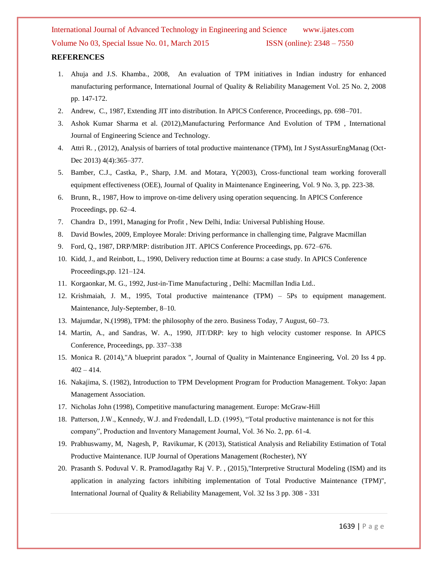- 1. Ahuja and J.S. Khamba., 2008, An evaluation of TPM initiatives in Indian industry for enhanced manufacturing performance, International Journal of Quality & Reliability Management Vol. 25 No. 2, 2008 pp. 147-172.
- 2. Andrew, C., 1987, Extending JIT into distribution. In APICS Conference, Proceedings, pp. 698–701.
- 3. Ashok Kumar Sharma et al. (2012),Manufacturing Performance And Evolution of TPM , International Journal of Engineering Science and Technology.
- 4. Attri R. , (2012), Analysis of barriers of total productive maintenance (TPM), Int J SystAssurEngManag (Oct-Dec 2013) 4(4):365-377.
- 5. Bamber, C.J., Castka, P., Sharp, J.M. and Motara, Y(2003), Cross-functional team working foroverall equipment effectiveness (OEE), Journal of Quality in Maintenance Engineering, Vol. 9 No. 3, pp. 223-38.
- 6. Brunn, R., 1987, How to improve on-time delivery using operation sequencing. In APICS Conference Proceedings, pp. 62–4.
- 7. Chandra D., 1991, Managing for Profit , New Delhi, India: Universal Publishing House.
- 8. David Bowles, 2009, Employee Morale: Driving performance in challenging time, Palgrave Macmillan
- 9. Ford, Q., 1987, DRP/MRP: distribution JIT. APICS Conference Proceedings, pp. 672–676.
- 10. Kidd, J., and Reinbott, L., 1990, Delivery reduction time at Bourns: a case study. In APICS Conference Proceedings,pp. 121–124.
- 11. Korgaonkar, M. G., 1992, Just-in-Time Manufacturing , Delhi: Macmillan India Ltd..
- 12. Krishmaiah, J. M., 1995, Total productive maintenance (TPM) 5Ps to equipment management. Maintenance, July-September, 8–10.
- 13. Majumdar, N.(1998), TPM: the philosophy of the zero. Business Today, 7 August, 60–73.
- 14. Martin, A., and Sandras, W. A., 1990, JIT/DRP: key to high velocity customer response. In APICS Conference, Proceedings, pp. 337–338
- 15. Monica R. (2014),"A blueprint paradox ", Journal of Quality in Maintenance Engineering, Vol. 20 Iss 4 pp.  $402 - 414.$
- 16. Nakajima, S. (1982), Introduction to TPM Development Program for Production Management. Tokyo: Japan Management Association.
- 17. Nicholas John (1998), Competitive manufacturing management. Europe: McGraw-Hill
- 18. Patterson, J.W., Kennedy, W.J. and Fredendall, L.D. (1995), "Total productive maintenance is not for this company", Production and Inventory Management Journal, Vol. 36 No. 2, pp. 61-4.
- 19. Prabhuswamy, M, Nagesh, P, Ravikumar, K (2013), Statistical Analysis and Reliability Estimation of Total Productive Maintenance. IUP Journal of Operations Management (Rochester), NY
- 20. Prasanth S. Poduval V. R. PramodJagathy Raj V. P. , (2015),"Interpretive Structural Modeling (ISM) and its application in analyzing factors inhibiting implementation of Total Productive Maintenance (TPM)", International Journal of Quality & Reliability Management, Vol. 32 Iss 3 pp. 308 - 331